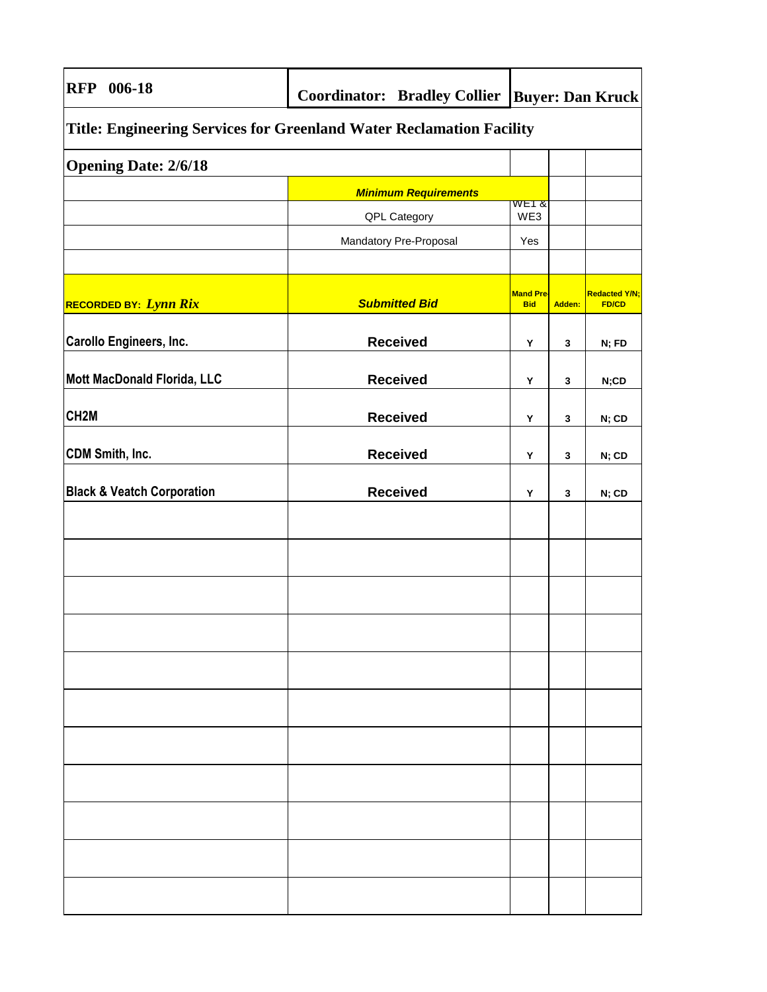| 006-18<br><b>RFP</b>                                                 | <b>Coordinator: Bradley Collier</b> | <b>Buyer: Dan Kruck</b>        |        |                                      |
|----------------------------------------------------------------------|-------------------------------------|--------------------------------|--------|--------------------------------------|
| Title: Engineering Services for Greenland Water Reclamation Facility |                                     |                                |        |                                      |
| <b>Opening Date: 2/6/18</b>                                          |                                     |                                |        |                                      |
|                                                                      | <b>Minimum Requirements</b>         |                                |        |                                      |
|                                                                      | QPL Category                        | WE1 &<br>WE3                   |        |                                      |
|                                                                      | Mandatory Pre-Proposal              | Yes                            |        |                                      |
|                                                                      |                                     |                                |        |                                      |
| RECORDED BY: Lynn Rix                                                | <b>Submitted Bid</b>                | <b>Mand Pre-</b><br><b>Bid</b> | Adden: | <b>Redacted Y/N;</b><br><b>FD/CD</b> |
| <b>Carollo Engineers, Inc.</b>                                       | <b>Received</b>                     | Υ                              | 3      | N; FD                                |
| Mott MacDonald Florida, LLC                                          | <b>Received</b>                     | Υ                              | 3      | N;CD                                 |
| CH <sub>2</sub> M                                                    | <b>Received</b>                     | Υ                              | 3      | N; CD                                |
| CDM Smith, Inc.                                                      | <b>Received</b>                     | Y                              | 3      | N; CD                                |
| <b>Black &amp; Veatch Corporation</b>                                | <b>Received</b>                     | Y                              | 3      | N; CD                                |
|                                                                      |                                     |                                |        |                                      |
|                                                                      |                                     |                                |        |                                      |
|                                                                      |                                     |                                |        |                                      |
|                                                                      |                                     |                                |        |                                      |
|                                                                      |                                     |                                |        |                                      |
|                                                                      |                                     |                                |        |                                      |
|                                                                      |                                     |                                |        |                                      |
|                                                                      |                                     |                                |        |                                      |
|                                                                      |                                     |                                |        |                                      |
|                                                                      |                                     |                                |        |                                      |
|                                                                      |                                     |                                |        |                                      |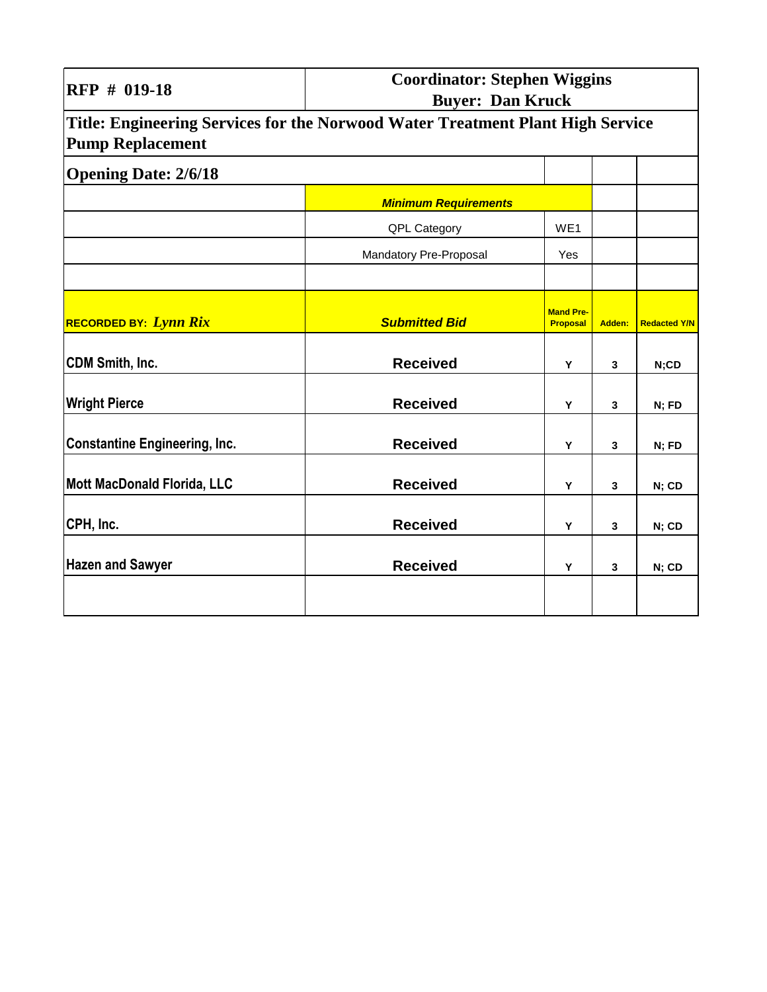| RFP # 019-18                                                                                              | <b>Coordinator: Stephen Wiggins</b><br><b>Buyer: Dan Kruck</b> |                                     |              |                     |
|-----------------------------------------------------------------------------------------------------------|----------------------------------------------------------------|-------------------------------------|--------------|---------------------|
| Title: Engineering Services for the Norwood Water Treatment Plant High Service<br><b>Pump Replacement</b> |                                                                |                                     |              |                     |
| <b>Opening Date: 2/6/18</b>                                                                               |                                                                |                                     |              |                     |
|                                                                                                           | <b>Minimum Requirements</b>                                    |                                     |              |                     |
|                                                                                                           | QPL Category                                                   | WE1                                 |              |                     |
|                                                                                                           | Mandatory Pre-Proposal                                         | Yes                                 |              |                     |
|                                                                                                           |                                                                |                                     |              |                     |
| <b>RECORDED BY: Lynn Rix</b>                                                                              | <b>Submitted Bid</b>                                           | <b>Mand Pre-</b><br><b>Proposal</b> | Adden:       | <b>Redacted Y/N</b> |
| <b>CDM Smith, Inc.</b>                                                                                    | <b>Received</b>                                                | Y                                   | 3            | N;CD                |
| <b>Wright Pierce</b>                                                                                      | <b>Received</b>                                                | Y                                   | 3            | N; FD               |
| <b>Constantine Engineering, Inc.</b>                                                                      | <b>Received</b>                                                | Y                                   | 3            | N; FD               |
| <b>Mott MacDonald Florida, LLC</b>                                                                        | <b>Received</b>                                                | Y                                   | 3            | N; CD               |
| CPH, Inc.                                                                                                 | <b>Received</b>                                                | Y                                   | $\mathbf{3}$ | N; CD               |
| <b>Hazen and Sawyer</b>                                                                                   | <b>Received</b>                                                | Y                                   | 3            | N; CD               |
|                                                                                                           |                                                                |                                     |              |                     |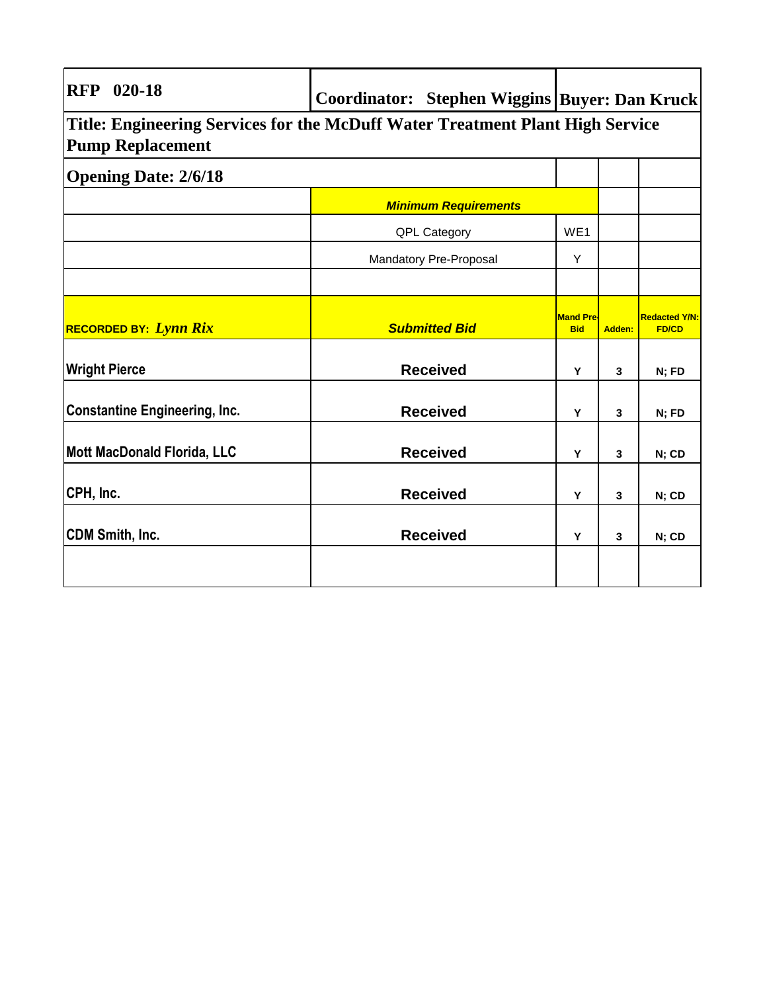| $020 - 18$<br><b>RFP</b>                                                                                 |  |                             |                                | Coordinator: Stephen Wiggins   Buyer: Dan Kruck |                                      |  |
|----------------------------------------------------------------------------------------------------------|--|-----------------------------|--------------------------------|-------------------------------------------------|--------------------------------------|--|
| Title: Engineering Services for the McDuff Water Treatment Plant High Service<br><b>Pump Replacement</b> |  |                             |                                |                                                 |                                      |  |
| <b>Opening Date: 2/6/18</b>                                                                              |  |                             |                                |                                                 |                                      |  |
|                                                                                                          |  | <b>Minimum Requirements</b> |                                |                                                 |                                      |  |
|                                                                                                          |  | QPL Category                | WE <sub>1</sub>                |                                                 |                                      |  |
|                                                                                                          |  | Mandatory Pre-Proposal      | Y                              |                                                 |                                      |  |
|                                                                                                          |  |                             |                                |                                                 |                                      |  |
| <b>RECORDED BY: Lynn Rix</b>                                                                             |  | <b>Submitted Bid</b>        | <b>Mand Pre-</b><br><b>Bid</b> | <b>Adden:</b>                                   | <b>Redacted Y/N:</b><br><b>FD/CD</b> |  |
| <b>Wright Pierce</b>                                                                                     |  | <b>Received</b>             | Y                              | 3                                               | N; FD                                |  |
| <b>Constantine Engineering, Inc.</b>                                                                     |  | <b>Received</b>             | Υ                              | 3                                               | N; FD                                |  |
| Mott MacDonald Florida, LLC                                                                              |  | <b>Received</b>             | Y                              | 3                                               | N; CD                                |  |
| CPH, Inc.                                                                                                |  | <b>Received</b>             | Y                              | 3                                               | N; CD                                |  |
| CDM Smith, Inc.                                                                                          |  | <b>Received</b>             | Y                              | 3                                               | N; CD                                |  |
|                                                                                                          |  |                             |                                |                                                 |                                      |  |